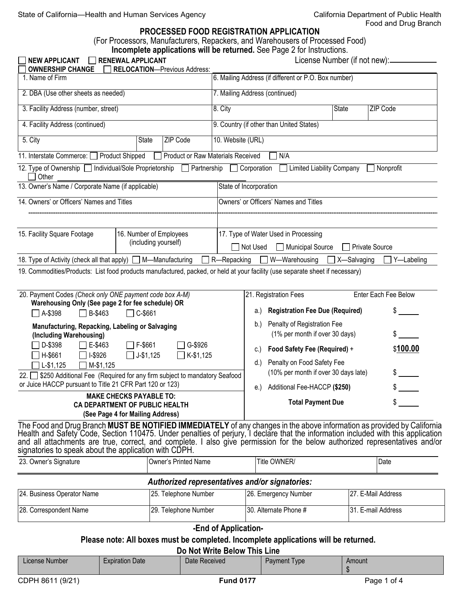# Food and Drug Branch

#### **PROCESSED FOOD REGISTRATION APPLICATION**

(For Processors, Manufacturers, Repackers, and Warehousers of Processed Food)

| <b>RENEWAL APPLICANT</b><br><b>NEW APPLICANT</b><br><b>OWNERSHIP CHANGE</b>                                                                                                                                                                                                                                                                                                                                                                                                                                                                                      |       | <b>RELOCATION-Previous Address:</b> |                                                                                                                                                                                                                                                                                                                                                   | Incomplete applications will be returned. See Page 2 for Instructions. | License Number (if not new):_ |                    |
|------------------------------------------------------------------------------------------------------------------------------------------------------------------------------------------------------------------------------------------------------------------------------------------------------------------------------------------------------------------------------------------------------------------------------------------------------------------------------------------------------------------------------------------------------------------|-------|-------------------------------------|---------------------------------------------------------------------------------------------------------------------------------------------------------------------------------------------------------------------------------------------------------------------------------------------------------------------------------------------------|------------------------------------------------------------------------|-------------------------------|--------------------|
| 1. Name of Firm                                                                                                                                                                                                                                                                                                                                                                                                                                                                                                                                                  |       |                                     | 6. Mailing Address (if different or P.O. Box number)                                                                                                                                                                                                                                                                                              |                                                                        |                               |                    |
| 2. DBA (Use other sheets as needed)                                                                                                                                                                                                                                                                                                                                                                                                                                                                                                                              |       |                                     | 7. Mailing Address (continued)                                                                                                                                                                                                                                                                                                                    |                                                                        |                               |                    |
| 3. Facility Address (number, street)                                                                                                                                                                                                                                                                                                                                                                                                                                                                                                                             |       |                                     | 8. City<br><b>State</b><br>ZIP Code                                                                                                                                                                                                                                                                                                               |                                                                        |                               |                    |
| 4. Facility Address (continued)                                                                                                                                                                                                                                                                                                                                                                                                                                                                                                                                  |       |                                     | 9. Country (if other than United States)                                                                                                                                                                                                                                                                                                          |                                                                        |                               |                    |
| 5. City                                                                                                                                                                                                                                                                                                                                                                                                                                                                                                                                                          | State | ZIP Code                            | 10. Website (URL)                                                                                                                                                                                                                                                                                                                                 |                                                                        |                               |                    |
| 11. Interstate Commerce: <u>Competition</u> Product Shipped                                                                                                                                                                                                                                                                                                                                                                                                                                                                                                      |       | Product or Raw Materials Received   |                                                                                                                                                                                                                                                                                                                                                   | N/A                                                                    |                               |                    |
| 12. Type of Ownership   Individual/Sole Proprietorship<br>Other                                                                                                                                                                                                                                                                                                                                                                                                                                                                                                  |       | $\Box$ Partnership                  |                                                                                                                                                                                                                                                                                                                                                   | <b>Limited Liability Company</b><br>$\Box$ Corporation                 |                               | $\Box$ Nonprofit   |
| 13. Owner's Name / Corporate Name (if applicable)                                                                                                                                                                                                                                                                                                                                                                                                                                                                                                                |       |                                     | State of Incorporation                                                                                                                                                                                                                                                                                                                            |                                                                        |                               |                    |
| 14. Owners' or Officers' Names and Titles                                                                                                                                                                                                                                                                                                                                                                                                                                                                                                                        |       |                                     | Owners' or Officers' Names and Titles                                                                                                                                                                                                                                                                                                             |                                                                        |                               |                    |
|                                                                                                                                                                                                                                                                                                                                                                                                                                                                                                                                                                  |       |                                     |                                                                                                                                                                                                                                                                                                                                                   |                                                                        |                               |                    |
| 15. Facility Square Footage<br>16. Number of Employees<br>(including yourself)                                                                                                                                                                                                                                                                                                                                                                                                                                                                                   |       |                                     | 17. Type of Water Used in Processing                                                                                                                                                                                                                                                                                                              |                                                                        |                               |                    |
|                                                                                                                                                                                                                                                                                                                                                                                                                                                                                                                                                                  |       |                                     | Not Used<br>Municipal Source<br><b>Private Source</b>                                                                                                                                                                                                                                                                                             |                                                                        |                               |                    |
| 18. Type of Activity (check all that apply) M—Manufacturing<br>19. Commodities/Products: List food products manufactured, packed, or held at your facility (use separate sheet if necessary)                                                                                                                                                                                                                                                                                                                                                                     |       |                                     | R-Repacking                                                                                                                                                                                                                                                                                                                                       | $\exists$ W—Warehousing                                                | $\Box$ X-Salvaging            | Y-Labeling         |
| 20. Payment Codes (Check only ONE payment code box A-M)<br>Warehousing Only (See page 2 for fee schedule) OR<br>$\Box$ A-\$398<br>$\Box$ B-\$463<br>$\Box$ C-\$661<br>Manufacturing, Repacking, Labeling or Salvaging<br>(Including Warehousing)<br>$\Box$ F-\$661<br>G-\$926<br>D-\$398<br>E-\$463<br>$\Box$ I-\$926<br>□H-\$661<br>$\Box$ J-\$1,125<br>$\Box$ K-\$1,125<br>$\Box$ M-\$1,125<br>L-\$1,125<br>\$250 Additional Fee (Required for any firm subject to mandatory Seafood<br>22. $\Box$<br>or Juice HACCP pursuant to Title 21 CFR Part 120 or 123) |       |                                     | Enter Each Fee Below<br>21. Registration Fees<br><b>Registration Fee Due (Required)</b><br>\$<br>a.)<br>Penalty of Registration Fee<br>b.<br>(1% per month if over 30 days)<br>Food Safety Fee (Required) +<br>C.<br>Penalty on Food Safety Fee<br>$d.$ )<br>(10% per month if over 30 days late)<br>\$<br>e.) Additional Fee-HACCP (\$250)<br>\$ |                                                                        | \$100.00                      |                    |
| <b>MAKE CHECKS PAYABLE TO:</b><br>CA DEPARTMENT OF PUBLIC HEALTH<br>(See Page 4 for Mailing Address)                                                                                                                                                                                                                                                                                                                                                                                                                                                             |       |                                     |                                                                                                                                                                                                                                                                                                                                                   | <b>Total Payment Due</b>                                               |                               |                    |
| The Food and Drug Branch MUST BE NOTIFIED IMMEDIATELY of any changes in the above information as provided by California<br>Health and Safety Code, Section 110475. Under penalties of perjury, I declare that the information inc<br>and all attachments are true, correct, and complete. I also give permission for the below authorized representatives and/or<br>signatories to speak about the application with CDPH.                                                                                                                                        |       |                                     |                                                                                                                                                                                                                                                                                                                                                   |                                                                        |                               |                    |
| 23. Owner's Signature                                                                                                                                                                                                                                                                                                                                                                                                                                                                                                                                            |       | <b>Owner's Printed Name</b>         |                                                                                                                                                                                                                                                                                                                                                   | Title OWNER/                                                           |                               | Date               |
|                                                                                                                                                                                                                                                                                                                                                                                                                                                                                                                                                                  |       |                                     |                                                                                                                                                                                                                                                                                                                                                   | Authorized representatives and/or signatories:                         |                               |                    |
| 24. Business Operator Name                                                                                                                                                                                                                                                                                                                                                                                                                                                                                                                                       |       | 25. Telephone Number                |                                                                                                                                                                                                                                                                                                                                                   | 26. Emergency Number                                                   |                               | 27. E-Mail Address |
| 28. Correspondent Name                                                                                                                                                                                                                                                                                                                                                                                                                                                                                                                                           |       | 29. Telephone Number                |                                                                                                                                                                                                                                                                                                                                                   | 30. Alternate Phone #                                                  |                               | 31. E-mail Address |
|                                                                                                                                                                                                                                                                                                                                                                                                                                                                                                                                                                  |       |                                     | -End of Application-                                                                                                                                                                                                                                                                                                                              |                                                                        |                               |                    |

**Please note: All boxes must be completed. Incomplete applications will be returned.**

#### **Do Not Write Below This Line**

| License Number   | <b>Expiration Date</b> | Date Received    | Payment Type | Amount      |
|------------------|------------------------|------------------|--------------|-------------|
| CDPH 8611 (9/21) |                        | <b>Fund 0177</b> |              | Page 1 of 4 |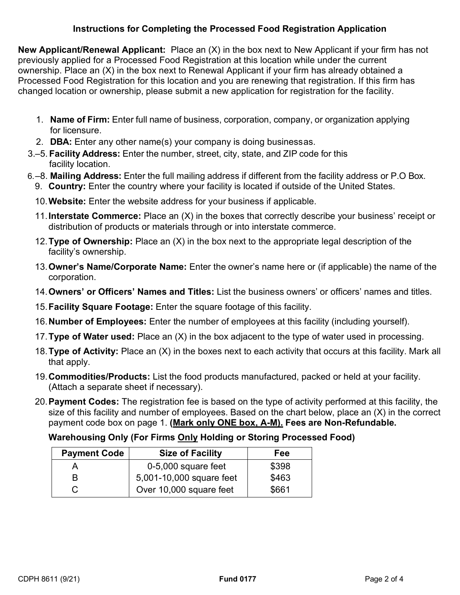### **Instructions for Completing the Processed Food Registration Application**

**New Applicant/Renewal Applicant:** Place an (X) in the box next to New Applicant if your firm has not previously applied for a Processed Food Registration at this location while under the current ownership. Place an (X) in the box next to Renewal Applicant if your firm has already obtained a Processed Food Registration for this location and you are renewing that registration. If this firm has changed location or ownership, please submit a new application for registration for the facility.

- 1. **Name of Firm:** Enter full name of business, corporation, company, or organization applying for licensure.
- 2. **DBA:** Enter any other name(s) your company is doing businessas.
- 3.–5. **Facility Address:** Enter the number, street, city, state, and ZIP code for this facility location.
- 6.–8. **Mailing Address:** Enter the full mailing address if different from the facility address or P.O Box.
	- 9. **Country:** Enter the country where your facility is located if outside of the United States.
	- 10.**Website:** Enter the website address for your business if applicable.
	- 11.**Interstate Commerce:** Place an (X) in the boxes that correctly describe your business' receipt or distribution of products or materials through or into interstate commerce.
	- 12.**Type of Ownership:** Place an (X) in the box next to the appropriate legal description of the facility's ownership.
	- 13.**Owner's Name/Corporate Name:** Enter the owner's name here or (if applicable) the name of the corporation.
	- 14.**Owners' or Officers' Names and Titles:** List the business owners' or officers' names and titles.
	- 15.**Facility Square Footage:** Enter the square footage of this facility.
	- 16.**Number of Employees:** Enter the number of employees at this facility (including yourself).
	- 17.**Type of Water used:** Place an (X) in the box adjacent to the type of water used in processing.
	- 18.**Type of Activity:** Place an (X) in the boxes next to each activity that occurs at this facility. Mark all that apply.
	- 19.**Commodities/Products:** List the food products manufactured, packed or held at your facility. (Attach a separate sheet if necessary).
	- payment code box on page 1. **(Mark only ONE box, A-M). Fees are Non-Refundable.** 20.**Payment Codes:** The registration fee is based on the type of activity performed at this facility, the size of this facility and number of employees. Based on the chart below, place an (X) in the correct

## **Warehousing Only (For Firms Only Holding or Storing Processed Food)**

| <b>Payment Code</b> | <b>Size of Facility</b>  | Fee   |
|---------------------|--------------------------|-------|
|                     | 0-5,000 square feet      | \$398 |
| R                   | 5,001-10,000 square feet | \$463 |
|                     | Over 10,000 square feet  | \$661 |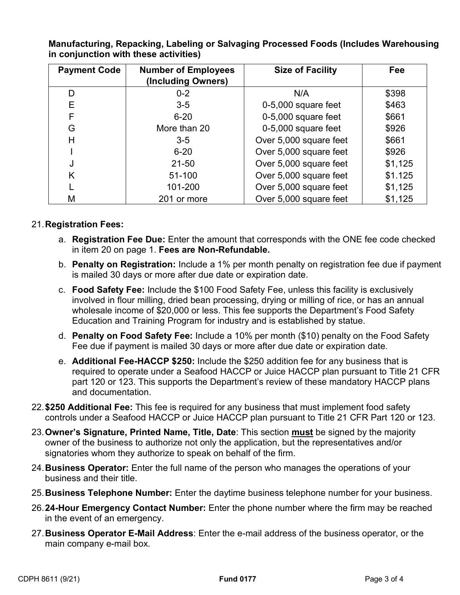| <b>Payment Code</b> | <b>Number of Employees</b><br>(Including Owners) | <b>Size of Facility</b> | Fee     |
|---------------------|--------------------------------------------------|-------------------------|---------|
| D                   | $0 - 2$                                          | N/A                     | \$398   |
| E                   | $3-5$                                            | 0-5,000 square feet     | \$463   |
| F                   | $6 - 20$                                         | 0-5,000 square feet     | \$661   |
| G                   | More than 20                                     | 0-5,000 square feet     | \$926   |
| Н                   | $3-5$                                            | Over 5,000 square feet  | \$661   |
|                     | $6 - 20$                                         | Over 5,000 square feet  | \$926   |
| J                   | $21 - 50$                                        | Over 5,000 square feet  | \$1,125 |
| K                   | 51-100                                           | Over 5,000 square feet  | \$1.125 |
|                     | 101-200                                          | Over 5,000 square feet  | \$1,125 |
| М                   | 201 or more                                      | Over 5,000 square feet  | \$1,125 |

**Manufacturing, Repacking, Labeling or Salvaging Processed Foods (Includes Warehousing in conjunction with these activities)** 

#### 21.**Registration Fees:**

- a. **Registration Fee Due:** Enter the amount that corresponds with the ONE fee code checked in item 20 on page 1. **Fees are Non-Refundable.**
- b. **Penalty on Registration:** Include a 1% per month penalty on registration fee due if payment is mailed 30 days or more after due date or expiration date.
- c. **Food Safety Fee:** Include the \$100 Food Safety Fee, unless this facility is exclusively involved in flour milling, dried bean processing, drying or milling of rice, or has an annual wholesale income of \$20,000 or less. This fee supports the Department's Food Safety Education and Training Program for industry and is established by statue.
- d. **Penalty on Food Safety Fee:** Include a 10% per month (\$10) penalty on the Food Safety Fee due if payment is mailed 30 days or more after due date or expiration date.
- part 120 or 123. This supports the Department's review of these mandatory HACCP plans e. **Additional Fee-HACCP \$250:** Include the \$250 addition fee for any business that is required to operate under a Seafood HACCP or Juice HACCP plan pursuant to Title 21 CFR and documentation.
- 22.**\$250 Additional Fee:** This fee is required for any business that must implement food safety controls under a Seafood HACCP or Juice HACCP plan pursuant to Title 21 CFR Part 120 or 123.
- 23.**Owner's Signature, Printed Name, Title, Date**: This section **must** be signed by the majority owner of the business to authorize not only the application, but the representatives and/or signatories whom they authorize to speak on behalf of the firm.
- 24.**Business Operator:** Enter the full name of the person who manages the operations of your business and their title.
- 25.**Business Telephone Number:** Enter the daytime business telephone number for your business.
- 26.**24-Hour Emergency Contact Number:** Enter the phone number where the firm may be reached in the event of an emergency.
- 27.**Business Operator E-Mail Address**: Enter the e-mail address of the business operator, or the main company e-mail box.